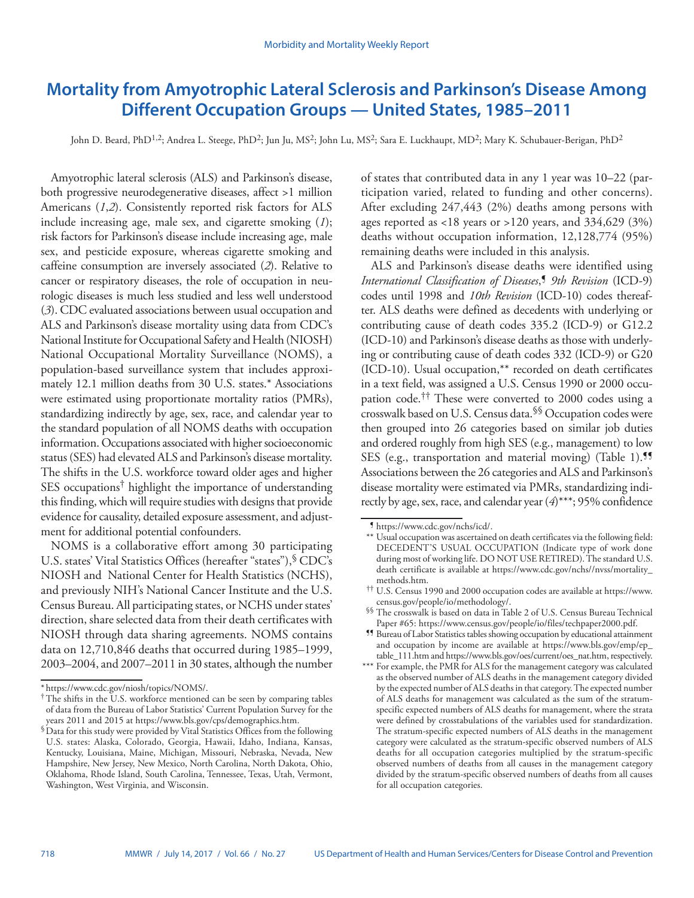# **Mortality from Amyotrophic Lateral Sclerosis and Parkinson's Disease Among Different Occupation Groups — United States, 1985–2011**

John D. Beard, PhD<sup>1,2</sup>; Andrea L. Steege, PhD<sup>2</sup>; Jun Ju, MS<sup>2</sup>; John Lu, MS<sup>2</sup>; Sara E. Luckhaupt, MD<sup>2</sup>; Mary K. Schubauer-Berigan, PhD<sup>2</sup>

Amyotrophic lateral sclerosis (ALS) and Parkinson's disease, both progressive neurodegenerative diseases, affect >1 million Americans (*1*,*2*). Consistently reported risk factors for ALS include increasing age, male sex, and cigarette smoking (*1*); risk factors for Parkinson's disease include increasing age, male sex, and pesticide exposure, whereas cigarette smoking and caffeine consumption are inversely associated (*2*). Relative to cancer or respiratory diseases, the role of occupation in neurologic diseases is much less studied and less well understood (*3*). CDC evaluated associations between usual occupation and ALS and Parkinson's disease mortality using data from CDC's National Institute for Occupational Safety and Health (NIOSH) National Occupational Mortality Surveillance (NOMS), a population-based surveillance system that includes approximately 12.1 million deaths from 30 U.S. states.\* Associations were estimated using proportionate mortality ratios (PMRs), standardizing indirectly by age, sex, race, and calendar year to the standard population of all NOMS deaths with occupation information. Occupations associated with higher socioeconomic status (SES) had elevated ALS and Parkinson's disease mortality. The shifts in the U.S. workforce toward older ages and higher SES occupations† highlight the importance of understanding this finding, which will require studies with designs that provide evidence for causality, detailed exposure assessment, and adjustment for additional potential confounders.

NOMS is a collaborative effort among 30 participating U.S. states' Vital Statistics Offices (hereafter "states"), <sup>§</sup> CDC's NIOSH and National Center for Health Statistics (NCHS), and previously NIH's National Cancer Institute and the U.S. Census Bureau. All participating states, or NCHS under states' direction, share selected data from their death certificates with NIOSH through data sharing agreements. NOMS contains data on 12,710,846 deaths that occurred during 1985–1999, 2003–2004, and 2007–2011 in 30 states, although the number

of states that contributed data in any 1 year was 10–22 (participation varied, related to funding and other concerns). After excluding 247,443 (2%) deaths among persons with ages reported as <18 years or >120 years, and 334,629 (3%) deaths without occupation information, 12,128,774 (95%) remaining deaths were included in this analysis.

ALS and Parkinson's disease deaths were identified using *International Classification of Diseases*, ¶ *9th Revision* (ICD-9) codes until 1998 and *10th Revision* (ICD-10) codes thereafter. ALS deaths were defined as decedents with underlying or contributing cause of death codes 335.2 (ICD-9) or G12.2 (ICD-10) and Parkinson's disease deaths as those with underlying or contributing cause of death codes 332 (ICD-9) or G20 (ICD-10). Usual occupation,\*\* recorded on death certificates in a text field, was assigned a U.S. Census 1990 or 2000 occupation code.†† These were converted to 2000 codes using a crosswalk based on U.S. Census data.§§ Occupation codes were then grouped into 26 categories based on similar job duties and ordered roughly from high SES (e.g., management) to low SES (e.g., transportation and material moving) (Table 1).<sup>99</sup> Associations between the 26 categories and ALS and Parkinson's disease mortality were estimated via PMRs, standardizing indirectly by age, sex, race, and calendar year (*4*)\*\*\*; 95% confidence

<sup>\*</sup> [https://www.cdc.gov/niosh/topics/NOMS/.](https://www.cdc.gov/niosh/topics/NOMS/) †The shifts in the U.S. workforce mentioned can be seen by comparing tables of data from the Bureau of Labor Statistics' Current Population Survey for the

 $\overline{\$}$  Data for this study were provided by Vital Statistics Offices from the following U.S. states: Alaska, Colorado, Georgia, Hawaii, Idaho, Indiana, Kansas, Kentucky, Louisiana, Maine, Michigan, Missouri, Nebraska, Nevada, New Hampshire, New Jersey, New Mexico, North Carolina, North Dakota, Ohio, Oklahoma, Rhode Island, South Carolina, Tennessee, Texas, Utah, Vermont, Washington, West Virginia, and Wisconsin.

<sup>¶</sup> [https://www.cdc.gov/nchs/icd/.](https://www.cdc.gov/nchs/icd/)

<sup>\*\*</sup> Usual occupation was ascertained on death certificates via the following field: DECEDENT'S USUAL OCCUPATION (Indicate type of work done during most of working life. DO NOT USE RETIRED). The standard U.S. death certificate is available at [https://www.cdc.gov/nchs//nvss/mortality\\_](https://www.cdc.gov/nchs//nvss/mortality_methods.htm)

<sup>&</sup>lt;sup>††</sup> U.S. Census 1990 and 2000 occupation codes are available at [https://www.](https://www.census.gov/people/io/methodology/)<br>census.gov/people/io/methodology/.

<sup>&</sup>lt;sup>§§</sup> The crosswalk is based on data in Table 2 of U.S. Census Bureau Technical Paper #65: https://www.census.gov/people/io/files/techpaper2000.pdf.

<sup>&</sup>lt;sup>95</sup> Bureau of Labor Statistics tables showing occupation by educational attainment and occupation by income are available at [https://www.bls.gov/emp/ep\\_](https://www.bls.gov/emp/ep_table_111.htm) [table\\_111.htm](https://www.bls.gov/emp/ep_table_111.htm) and [https://www.bls.gov/oes/current/oes\\_nat.htm](https://www.bls.gov/oes/current/oes_nat.htm), respectively.

<sup>\*\*\*</sup> For example, the PMR for ALS for the management category was calculated as the observed number of ALS deaths in the management category divided by the expected number of ALS deaths in that category. The expected number of ALS deaths for management was calculated as the sum of the stratumspecific expected numbers of ALS deaths for management, where the strata were defined by crosstabulations of the variables used for standardization. The stratum-specific expected numbers of ALS deaths in the management category were calculated as the stratum-specific observed numbers of ALS deaths for all occupation categories multiplied by the stratum-specific observed numbers of deaths from all causes in the management category divided by the stratum-specific observed numbers of deaths from all causes for all occupation categories.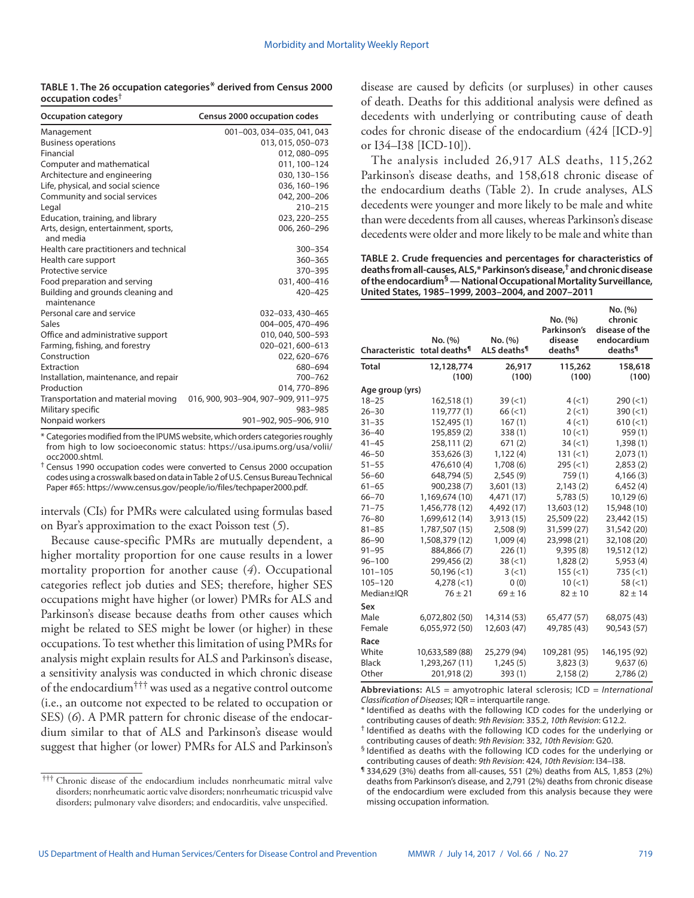| TABLE 1. The 26 occupation categories* derived from Census 2000 |  |
|-----------------------------------------------------------------|--|
| occupation codes <sup><math>\dagger</math></sup>                |  |

| <b>Occupation category</b>                        | Census 2000 occupation codes        |
|---------------------------------------------------|-------------------------------------|
| Management                                        | 001-003, 034-035, 041, 043          |
| <b>Business operations</b>                        | 013, 015, 050-073                   |
| Financial                                         | 012, 080-095                        |
| Computer and mathematical                         | 011, 100-124                        |
| Architecture and engineering                      | 030, 130-156                        |
| Life, physical, and social science                | 036, 160-196                        |
| Community and social services                     | 042, 200-206                        |
| Legal                                             | $210 - 215$                         |
| Education, training, and library                  | 023, 220-255                        |
| Arts, design, entertainment, sports,<br>and media | 006, 260-296                        |
| Health care practitioners and technical           | 300-354                             |
| Health care support                               | 360-365                             |
| Protective service                                | 370-395                             |
| Food preparation and serving                      | 031, 400-416                        |
| Building and grounds cleaning and<br>maintenance  | 420-425                             |
| Personal care and service                         | 032-033, 430-465                    |
| Sales                                             | 004-005, 470-496                    |
| Office and administrative support                 | 010, 040, 500-593                   |
| Farming, fishing, and forestry                    | 020-021, 600-613                    |
| Construction                                      | 022, 620-676                        |
| Extraction                                        | 680-694                             |
| Installation, maintenance, and repair             | 700-762                             |
| Production                                        | 014, 770-896                        |
| Transportation and material moving                | 016, 900, 903-904, 907-909, 911-975 |
| Military specific                                 | 983-985                             |
| Nonpaid workers                                   | 901-902, 905-906, 910               |

\* Categories modified from the IPUMS website, which orders categories roughly from high to low socioeconomic status: [https://usa.ipums.org/usa/volii/](https://usa.ipums.org/usa/volii/occ2000.shtml)

[occ2000.shtml](https://usa.ipums.org/usa/volii/occ2000.shtml).<br><sup>†</sup> Census 1990 occupation codes were converted to Census 2000 occupation codes using a crosswalk based on data in Table 2 of U.S. Census Bureau Technical Paper #65:<https://www.census.gov/people/io/files/techpaper2000.pdf>.

intervals (CIs) for PMRs were calculated using formulas based on Byar's approximation to the exact Poisson test (*5*).

Because cause-specific PMRs are mutually dependent, a higher mortality proportion for one cause results in a lower mortality proportion for another cause (*4*). Occupational categories reflect job duties and SES; therefore, higher SES occupations might have higher (or lower) PMRs for ALS and Parkinson's disease because deaths from other causes which might be related to SES might be lower (or higher) in these occupations. To test whether this limitation of using PMRs for analysis might explain results for ALS and Parkinson's disease, a sensitivity analysis was conducted in which chronic disease of the endocardium††† was used as a negative control outcome (i.e., an outcome not expected to be related to occupation or SES) (*6*). A PMR pattern for chronic disease of the endocardium similar to that of ALS and Parkinson's disease would suggest that higher (or lower) PMRs for ALS and Parkinson's disease are caused by deficits (or surpluses) in other causes of death. Deaths for this additional analysis were defined as decedents with underlying or contributing cause of death codes for chronic disease of the endocardium (424 [ICD-9] or I34–I38 [ICD-10]).

The analysis included 26,917 ALS deaths, 115,262 Parkinson's disease deaths, and 158,618 chronic disease of the endocardium deaths (Table 2). In crude analyses, ALS decedents were younger and more likely to be male and white than were decedents from all causes, whereas Parkinson's disease decedents were older and more likely to be male and white than

**TABLE 2. Crude frequencies and percentages for characteristics of deaths from all-causes, ALS,\* Parkinson's disease,† and chronic disease of the endocardium§ — National Occupational Mortality Surveillance, United States, 1985–1999, 2003–2004, and 2007–2011**

|                 | No. (%)<br>Characteristic total deaths <sup>1</sup> |                 | No. (%)<br>Parkinson's<br>disease<br>deaths <sup>¶</sup> | No. (%)<br>chronic<br>disease of the<br>endocardium<br>deaths <sup>¶</sup> |  |
|-----------------|-----------------------------------------------------|-----------------|----------------------------------------------------------|----------------------------------------------------------------------------|--|
| <b>Total</b>    | 12,128,774<br>(100)                                 | 26,917<br>(100) | 115,262<br>(100)                                         | 158,618<br>(100)                                                           |  |
| Age group (yrs) |                                                     |                 |                                                          |                                                                            |  |
| $18 - 25$       | 162,518(1)                                          | 39 (< 1)        | 4(1)                                                     | $290 (=1)$                                                                 |  |
| $26 - 30$       | 119.777(1)                                          | 66 (< 1)        | 2(<1)                                                    | 390 (< 1)                                                                  |  |
| $31 - 35$       | 152,495 (1)                                         | 167(1)          | 4(<1)                                                    | $610 (-1)$                                                                 |  |
| $36 - 40$       | 195,859(2)                                          | 338 (1)         | 10(<1)                                                   | 959(1)                                                                     |  |
| $41 - 45$       | 258,111(2)                                          | 671(2)          | 34 (< 1)                                                 | 1,398(1)                                                                   |  |
| $46 - 50$       | 353,626 (3)                                         | 1,122(4)        | 131 (< 1)                                                | 2,073(1)                                                                   |  |
| $51 - 55$       | 476,610(4)                                          | 1,708 (6)       | 295 (< 1)                                                | 2,853(2)                                                                   |  |
| $56 - 60$       | 648,794 (5)                                         | 2,545(9)        | 759(1)                                                   | 4,166(3)                                                                   |  |
| $61 - 65$       | 900,238 (7)                                         | 3,601(13)       | 2,143(2)                                                 | 6,452(4)                                                                   |  |
| $66 - 70$       | 1,169,674 (10)                                      | 4,471 (17)      | 5,783(5)                                                 | 10,129 (6)                                                                 |  |
| $71 - 75$       | 1,456,778 (12)                                      | 4,492 (17)      | 13,603 (12)                                              | 15,948 (10)                                                                |  |
| $76 - 80$       | 1,699,612 (14)                                      | 3,913 (15)      | 25,509 (22)                                              | 23,442 (15)                                                                |  |
| $81 - 85$       | 1,787,507 (15)                                      | 2,508(9)        | 31,599 (27)                                              | 31,542 (20)                                                                |  |
| $86 - 90$       | 1,508,379 (12)                                      | 1,009(4)        | 23,998 (21)                                              | 32,108 (20)                                                                |  |
| $91 - 95$       | 884,866 (7)                                         | 226(1)          | 9,395(8)                                                 | 19,512 (12)                                                                |  |
| $96 - 100$      | 299,456 (2)                                         | 38 (< 1)        | 1,828(2)                                                 | 5,953(4)                                                                   |  |
| $101 - 105$     | 50.196 (< 1)                                        | 3(<1)           | 155 (< 1)                                                | 735 (< 1)                                                                  |  |
| $105 - 120$     | 4,278 (< 1)                                         | 0(0)            | 10(<1)                                                   | 58 (< 1)                                                                   |  |
| Median±IQR      | $76 + 21$                                           | $69 \pm 16$     | $82 \pm 10$                                              | $82 \pm 14$                                                                |  |
| Sex             |                                                     |                 |                                                          |                                                                            |  |
| Male            | 6,072,802 (50)                                      | 14,314 (53)     | 65,477 (57)                                              | 68,075 (43)                                                                |  |
| Female          | 6,055,972 (50)                                      | 12,603 (47)     | 49,785 (43)                                              | 90,543 (57)                                                                |  |
| Race            |                                                     |                 |                                                          |                                                                            |  |
| White           | 10,633,589 (88)                                     | 25,279 (94)     | 109,281 (95)                                             | 146,195 (92)                                                               |  |
| <b>Black</b>    | 1,293,267 (11)                                      | 1,245(5)        | 3,823(3)                                                 | 9,637(6)                                                                   |  |
| Other           | 201,918 (2)                                         | 393(1)          | 2,158(2)                                                 | 2,786(2)                                                                   |  |

**Abbreviations:** ALS = amyotrophic lateral sclerosis; ICD = *International Classification of Diseases*; IQR = interquartile range.

\* Identified as deaths with the following ICD codes for the underlying or contributing causes of death: *9th Revision*: 335.2, *10th Revision*: G12.2.

† Identified as deaths with the following ICD codes for the underlying or contributing causes of death: *9th Revision*: 332, *10th Revision*: G20.

§ Identified as deaths with the following ICD codes for the underlying or contributing causes of death: *9th Revision*: 424, *10th Revision*: I34–I38.

¶ 334,629 (3%) deaths from all-causes, 551 (2%) deaths from ALS, 1,853 (2%) deaths from Parkinson's disease, and 2,791 (2%) deaths from chronic disease of the endocardium were excluded from this analysis because they were missing occupation information.

<sup>†††</sup> Chronic disease of the endocardium includes nonrheumatic mitral valve disorders; nonrheumatic aortic valve disorders; nonrheumatic tricuspid valve disorders; pulmonary valve disorders; and endocarditis, valve unspecified.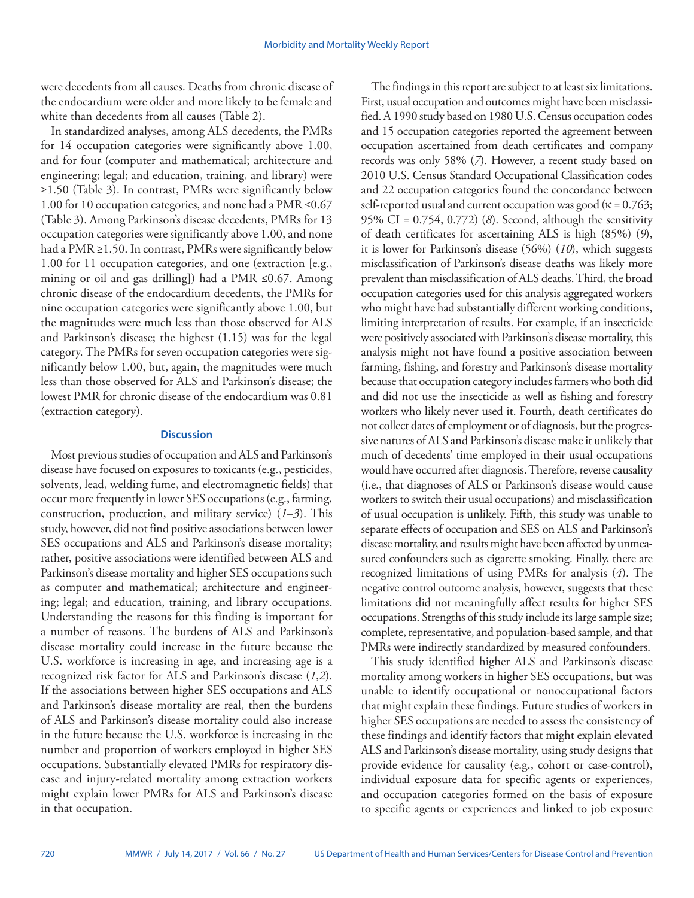were decedents from all causes. Deaths from chronic disease of the endocardium were older and more likely to be female and white than decedents from all causes (Table 2).

In standardized analyses, among ALS decedents, the PMRs for 14 occupation categories were significantly above 1.00, and for four (computer and mathematical; architecture and engineering; legal; and education, training, and library) were ≥1.50 (Table 3). In contrast, PMRs were significantly below 1.00 for 10 occupation categories, and none had a PMR ≤0.67 (Table 3). Among Parkinson's disease decedents, PMRs for 13 occupation categories were significantly above 1.00, and none had a PMR ≥1.50. In contrast, PMRs were significantly below 1.00 for 11 occupation categories, and one (extraction [e.g., mining or oil and gas drilling]) had a PMR ≤0.67. Among chronic disease of the endocardium decedents, the PMRs for nine occupation categories were significantly above 1.00, but the magnitudes were much less than those observed for ALS and Parkinson's disease; the highest (1.15) was for the legal category. The PMRs for seven occupation categories were significantly below 1.00, but, again, the magnitudes were much less than those observed for ALS and Parkinson's disease; the lowest PMR for chronic disease of the endocardium was 0.81 (extraction category).

## **Discussion**

Most previous studies of occupation and ALS and Parkinson's disease have focused on exposures to toxicants (e.g., pesticides, solvents, lead, welding fume, and electromagnetic fields) that occur more frequently in lower SES occupations (e.g., farming, construction, production, and military service) (*1*–*3*). This study, however, did not find positive associations between lower SES occupations and ALS and Parkinson's disease mortality; rather, positive associations were identified between ALS and Parkinson's disease mortality and higher SES occupations such as computer and mathematical; architecture and engineering; legal; and education, training, and library occupations. Understanding the reasons for this finding is important for a number of reasons. The burdens of ALS and Parkinson's disease mortality could increase in the future because the U.S. workforce is increasing in age, and increasing age is a recognized risk factor for ALS and Parkinson's disease (*1*,*2*). If the associations between higher SES occupations and ALS and Parkinson's disease mortality are real, then the burdens of ALS and Parkinson's disease mortality could also increase in the future because the U.S. workforce is increasing in the number and proportion of workers employed in higher SES occupations. Substantially elevated PMRs for respiratory disease and injury-related mortality among extraction workers might explain lower PMRs for ALS and Parkinson's disease in that occupation.

The findings in this report are subject to at least six limitations. First, usual occupation and outcomes might have been misclassified. A 1990 study based on 1980 U.S. Census occupation codes and 15 occupation categories reported the agreement between occupation ascertained from death certificates and company records was only 58% (*7*). However, a recent study based on 2010 U.S. Census Standard Occupational Classification codes and 22 occupation categories found the concordance between self-reported usual and current occupation was good ( $\kappa$  = 0.763; 95% CI = 0.754, 0.772) (*8*). Second, although the sensitivity of death certificates for ascertaining ALS is high (85%) (*9*), it is lower for Parkinson's disease (56%) (*10*), which suggests misclassification of Parkinson's disease deaths was likely more prevalent than misclassification of ALS deaths. Third, the broad occupation categories used for this analysis aggregated workers who might have had substantially different working conditions, limiting interpretation of results. For example, if an insecticide were positively associated with Parkinson's disease mortality, this analysis might not have found a positive association between farming, fishing, and forestry and Parkinson's disease mortality because that occupation category includes farmers who both did and did not use the insecticide as well as fishing and forestry workers who likely never used it. Fourth, death certificates do not collect dates of employment or of diagnosis, but the progressive natures of ALS and Parkinson's disease make it unlikely that much of decedents' time employed in their usual occupations would have occurred after diagnosis. Therefore, reverse causality (i.e., that diagnoses of ALS or Parkinson's disease would cause workers to switch their usual occupations) and misclassification of usual occupation is unlikely. Fifth, this study was unable to separate effects of occupation and SES on ALS and Parkinson's disease mortality, and results might have been affected by unmeasured confounders such as cigarette smoking. Finally, there are recognized limitations of using PMRs for analysis (*4*). The negative control outcome analysis, however, suggests that these limitations did not meaningfully affect results for higher SES occupations. Strengths of this study include its large sample size; complete, representative, and population-based sample, and that PMRs were indirectly standardized by measured confounders.

This study identified higher ALS and Parkinson's disease mortality among workers in higher SES occupations, but was unable to identify occupational or nonoccupational factors that might explain these findings. Future studies of workers in higher SES occupations are needed to assess the consistency of these findings and identify factors that might explain elevated ALS and Parkinson's disease mortality, using study designs that provide evidence for causality (e.g., cohort or case-control), individual exposure data for specific agents or experiences, and occupation categories formed on the basis of exposure to specific agents or experiences and linked to job exposure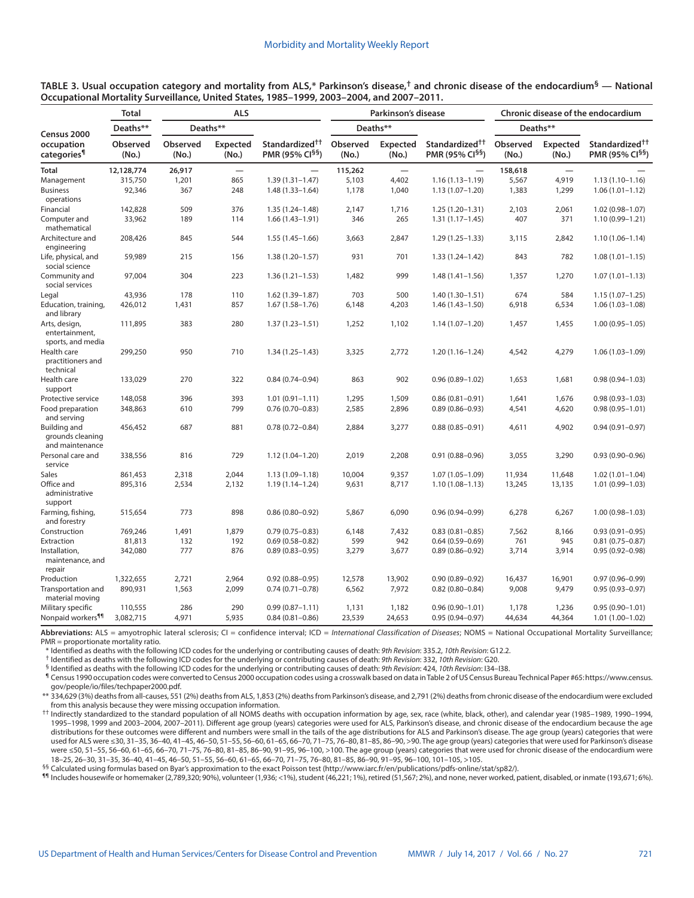| TABLE 3. Usual occupation category and mortality from ALS,* Parkinson's disease,† and chronic disease of the endocardium $^{\mathsf{S}}$ — National |  |
|-----------------------------------------------------------------------------------------------------------------------------------------------------|--|
| Occupational Mortality Surveillance, United States, 1985–1999, 2003–2004, and 2007–2011.                                                            |  |

|                                                             | <b>Total</b><br>Deaths**<br>Observed<br>(No.) | <b>ALS</b>             |                                 | Parkinson's disease                          |                           |                                            | <b>Chronic disease of the endocardium</b>    |                           |                          |                                                           |
|-------------------------------------------------------------|-----------------------------------------------|------------------------|---------------------------------|----------------------------------------------|---------------------------|--------------------------------------------|----------------------------------------------|---------------------------|--------------------------|-----------------------------------------------------------|
| Census 2000                                                 |                                               | Deaths**               |                                 |                                              | Deaths**                  |                                            |                                              | Deaths**                  |                          |                                                           |
| occupation<br>categories <sup>1</sup>                       |                                               | Observed<br>(No.)      | <b>Expected</b><br>(No.)        | Standardized <sup>††</sup><br>PMR (95% CI§§) | Observed<br>(No.)         | <b>Expected</b><br>(No.)                   | Standardized <sup>††</sup><br>PMR (95% CI§§) | Observed<br>(No.)         | <b>Expected</b><br>(No.) | Standardized <sup>††</sup><br>PMR (95% CI <sup>§§</sup> ) |
| <b>Total</b><br>Management<br><b>Business</b><br>operations | 12,128,774<br>315,750<br>92,346               | 26,917<br>1,201<br>367 | $\qquad \qquad -$<br>865<br>248 | $1.39(1.31 - 1.47)$<br>$1.48(1.33 - 1.64)$   | 115,262<br>5,103<br>1,178 | $\overline{\phantom{0}}$<br>4,402<br>1,040 | $1.16(1.13 - 1.19)$<br>$1.13(1.07 - 1.20)$   | 158,618<br>5,567<br>1,383 | 4,919<br>1,299           | $1.13(1.10-1.16)$<br>$1.06(1.01 - 1.12)$                  |
| Financial                                                   | 142,828                                       | 509                    | 376                             | $1.35(1.24 - 1.48)$                          | 2,147                     | 1,716                                      | $1.25(1.20-1.31)$                            | 2,103                     | 2,061                    | $1.02(0.98 - 1.07)$                                       |
| Computer and<br>mathematical                                | 33,962                                        | 189                    | 114                             | $1.66(1.43 - 1.91)$                          | 346                       | 265                                        | $1.31(1.17-1.45)$                            | 407                       | 371                      | $1.10(0.99 - 1.21)$                                       |
| Architecture and<br>engineering                             | 208,426                                       | 845                    | 544                             | $1.55(1.45-1.66)$                            | 3,663                     | 2,847                                      | $1.29(1.25 - 1.33)$                          | 3,115                     | 2,842                    | $1.10(1.06 - 1.14)$                                       |
| Life, physical, and<br>social science                       | 59,989                                        | 215                    | 156                             | $1.38(1.20 - 1.57)$                          | 931                       | 701                                        | $1.33(1.24 - 1.42)$                          | 843                       | 782                      | $1.08(1.01 - 1.15)$                                       |
| Community and<br>social services                            | 97,004                                        | 304                    | 223                             | $1.36(1.21 - 1.53)$                          | 1,482                     | 999                                        | $1.48(1.41 - 1.56)$                          | 1,357                     | 1,270                    | $1.07(1.01 - 1.13)$                                       |
| Legal                                                       | 43,936                                        | 178                    | 110                             | $1.62(1.39 - 1.87)$                          | 703                       | 500                                        | $1.40(1.30 - 1.51)$                          | 674                       | 584                      | $1.15(1.07-1.25)$                                         |
| Education, training,<br>and library                         | 426,012                                       | 1,431                  | 857                             | $1.67(1.58 - 1.76)$                          | 6,148                     | 4,203                                      | $1.46(1.43 - 1.50)$                          | 6,918                     | 6,534                    | $1.06(1.03 - 1.08)$                                       |
| Arts, design,<br>entertainment,<br>sports, and media        | 111,895                                       | 383                    | 280                             | $1.37(1.23 - 1.51)$                          | 1,252                     | 1,102                                      | $1.14(1.07 - 1.20)$                          | 1,457                     | 1,455                    | $1.00(0.95 - 1.05)$                                       |
| Health care<br>practitioners and<br>technical               | 299,250                                       | 950                    | 710                             | $1.34(1.25 - 1.43)$                          | 3,325                     | 2,772                                      | $1.20(1.16 - 1.24)$                          | 4,542                     | 4,279                    | $1.06(1.03 - 1.09)$                                       |
| Health care<br>support                                      | 133,029                                       | 270                    | 322                             | $0.84(0.74 - 0.94)$                          | 863                       | 902                                        | $0.96(0.89 - 1.02)$                          | 1,653                     | 1,681                    | $0.98(0.94 - 1.03)$                                       |
| Protective service                                          | 148,058                                       | 396                    | 393                             | $1.01(0.91 - 1.11)$                          | 1,295                     | 1,509                                      | $0.86(0.81 - 0.91)$                          | 1,641                     | 1,676                    | $0.98(0.93 - 1.03)$                                       |
| Food preparation<br>and serving                             | 348,863                                       | 610                    | 799                             | $0.76(0.70 - 0.83)$                          | 2,585                     | 2,896                                      | $0.89(0.86 - 0.93)$                          | 4,541                     | 4,620                    | $0.98(0.95 - 1.01)$                                       |
| Building and<br>grounds cleaning<br>and maintenance         | 456,452                                       | 687                    | 881                             | $0.78(0.72 - 0.84)$                          | 2,884                     | 3,277                                      | $0.88(0.85 - 0.91)$                          | 4,611                     | 4,902                    | $0.94(0.91 - 0.97)$                                       |
| Personal care and<br>service                                | 338,556                                       | 816                    | 729                             | $1.12(1.04 - 1.20)$                          | 2,019                     | 2,208                                      | $0.91(0.88 - 0.96)$                          | 3,055                     | 3,290                    | $0.93(0.90 - 0.96)$                                       |
| <b>Sales</b>                                                | 861,453                                       | 2,318                  | 2,044                           | $1.13(1.09 - 1.18)$                          | 10,004                    | 9,357                                      | $1.07(1.05 - 1.09)$                          | 11,934                    | 11,648                   | $1.02(1.01 - 1.04)$                                       |
| Office and<br>administrative<br>support                     | 895,316                                       | 2,534                  | 2,132                           | $1.19(1.14 - 1.24)$                          | 9,631                     | 8,717                                      | $1.10(1.08 - 1.13)$                          | 13,245                    | 13,135                   | $1.01(0.99 - 1.03)$                                       |
| Farming, fishing,<br>and forestry                           | 515,654                                       | 773                    | 898                             | $0.86(0.80 - 0.92)$                          | 5,867                     | 6,090                                      | $0.96(0.94 - 0.99)$                          | 6,278                     | 6,267                    | $1.00(0.98 - 1.03)$                                       |
| Construction                                                | 769,246                                       | 1,491                  | 1,879                           | $0.79(0.75 - 0.83)$                          | 6,148                     | 7,432                                      | $0.83(0.81 - 0.85)$                          | 7,562                     | 8,166                    | $0.93(0.91 - 0.95)$                                       |
| Extraction                                                  | 81,813                                        | 132                    | 192                             | $0.69(0.58 - 0.82)$                          | 599                       | 942                                        | $0.64(0.59 - 0.69)$                          | 761                       | 945                      | $0.81(0.75 - 0.87)$                                       |
| Installation,<br>maintenance, and<br>repair                 | 342,080                                       | 777                    | 876                             | $0.89(0.83 - 0.95)$                          | 3,279                     | 3,677                                      | $0.89(0.86 - 0.92)$                          | 3,714                     | 3,914                    | $0.95(0.92 - 0.98)$                                       |
| Production                                                  | 1,322,655                                     | 2,721                  | 2,964                           | $0.92(0.88 - 0.95)$                          | 12,578                    | 13,902                                     | $0.90(0.89 - 0.92)$                          | 16,437                    | 16,901                   | $0.97(0.96 - 0.99)$                                       |
| Transportation and<br>material moving                       | 890,931                                       | 1,563                  | 2,099                           | $0.74(0.71 - 0.78)$                          | 6,562                     | 7,972                                      | $0.82(0.80 - 0.84)$                          | 9,008                     | 9,479                    | $0.95(0.93 - 0.97)$                                       |
| Military specific                                           | 110,555                                       | 286                    | 290                             | $0.99(0.87 - 1.11)$                          | 1,131                     | 1,182                                      | $0.96(0.90 - 1.01)$                          | 1,178                     | 1,236                    | $0.95(0.90 - 1.01)$                                       |
| Nonpaid workers <sup>99</sup>                               | 3,082,715                                     | 4,971                  | 5,935                           | $0.84(0.81 - 0.86)$                          | 23,539                    | 24,653                                     | $0.95(0.94 - 0.97)$                          | 44,634                    | 44,364                   | $1.01(1.00 - 1.02)$                                       |

Abbreviations: ALS = amyotrophic lateral sclerosis; CI = confidence interval; ICD = International Classification of Diseases; NOMS = National Occupational Mortality Surveillance; PMR = proportionate mortality ratio.

\* Identified as deaths with the following ICD codes for the underlying or contributing causes of death: *9th Revision*: 335.2, *10th Revision*: G12.2.

† Identified as deaths with the following ICD codes for the underlying or contributing causes of death: *9th Revision*: 332, *10th Revision*: G20.

§ Identified as deaths with the following ICD codes for the underlying or contributing causes of death: *9th Revision*: 424, *10th Revision*: I34–I38. ¶ Census 1990 occupation codes were converted to Census 2000 occupation codes using a crosswalk based on data in Table 2 of US Census Bureau Technical Paper #65: [https://www.census.](https://www.census.gov/people/io/files/techpaper2000.pdf) [gov/people/io/files/techpaper2000.pdf.](https://www.census.gov/people/io/files/techpaper2000.pdf)

\*\* 334,629 (3%) deaths from all-causes, 551 (2%) deaths from ALS, 1,853 (2%) deaths from Parkinson's disease, and 2,791 (2%) deaths from chronic disease of the endocardium were excluded from this analysis because they were missing occupation information.

†† Indirectly standardized to the standard population of all NOMS deaths with occupation information by age, sex, race (white, black, other), and calendar year (1985–1989, 1990–1994, 1995–1998, 1999 and 2003–2004, 2007–2011). Different age group (years) categories were used for ALS, Parkinson's disease, and chronic disease of the endocardium because the age distributions for these outcomes were different and numbers were small in the tails of the age distributions for ALS and Parkinson's disease. The age group (years) categories that were used for ALS were ≤30, 31–35, 36–40, 41–45, 46–50, 51–55, 56–60, 61–65, 66–70, 71–75, 76–80, 81–85, 86–90, >90. The age group (years) categories that were used for Parkinson's disease were ≤50, 51–55, 56–60, 61–65, 66–70, 71–75, 76–80, 81–85, 86–90, 91–95, 96–100, >100. The age group (years) categories that were used for chronic disease of the endocardium were 18–25, 26–30, 31–35, 36–40, 41–45, 46–50, 51–55, 56–60, 61–65, 66–70, 71–75, 76–80, 81–85, 86–90, 91–95, 96–100, 101–105, >105.

§§ Calculated using formulas based on Byar's approximation to the exact Poisson test (<http://www.iarc.fr/en/publications/pdfs-online/stat/sp82/>).

¶¶ Includes housewife or homemaker (2,789,320; 90%), volunteer (1,936; <1%), student (46,221; 1%), retired (51,567; 2%), and none, never worked, patient, disabled, or inmate (193,671; 6%).